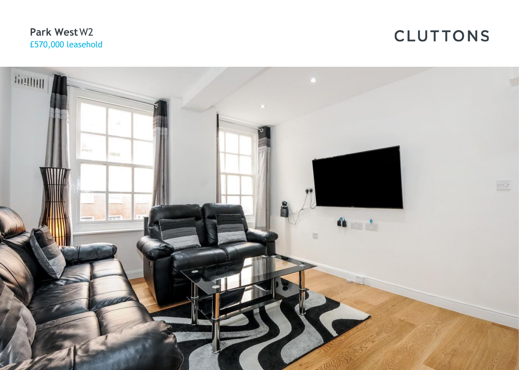## **Park West**W2 £570,000 leasehold

## **CLUTTONS**

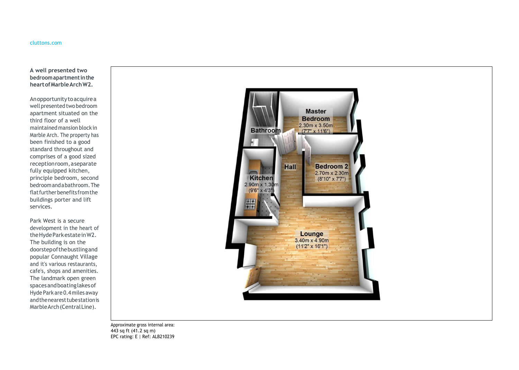

**A well presented two bedroomapartmentinthe heartofMarbleArchW2.**

Anopportunitytoacquirea well presented two bedroom apartment situated on the third floor of a well maintainedmansion block in Marble Arch. The property has been finished to a good standard throughout and comprises of a good sized receptionroom,aseparate fully equipped kitchen, principle bedroom, second bedroomandabathroom.The flat further benefits from the buildings porter and lift services.

Park West is a secure development in the heart of theHydeParkestateinW2. The building is on the doorstepofthebustlingand popular Connaught Village and it's various restaurants, cafe's, shops and amenities. The landmark open green spacesandboatinglakesof Hyde Park are 0.4 miles away andthenearesttubestationis MarbleArch(CentralLine).



Approximate gross internal area: 443 sq ft (41.2 sq m) EPC rating: E | Ref: ALB210239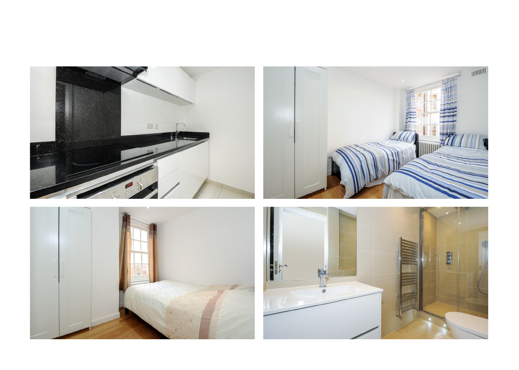